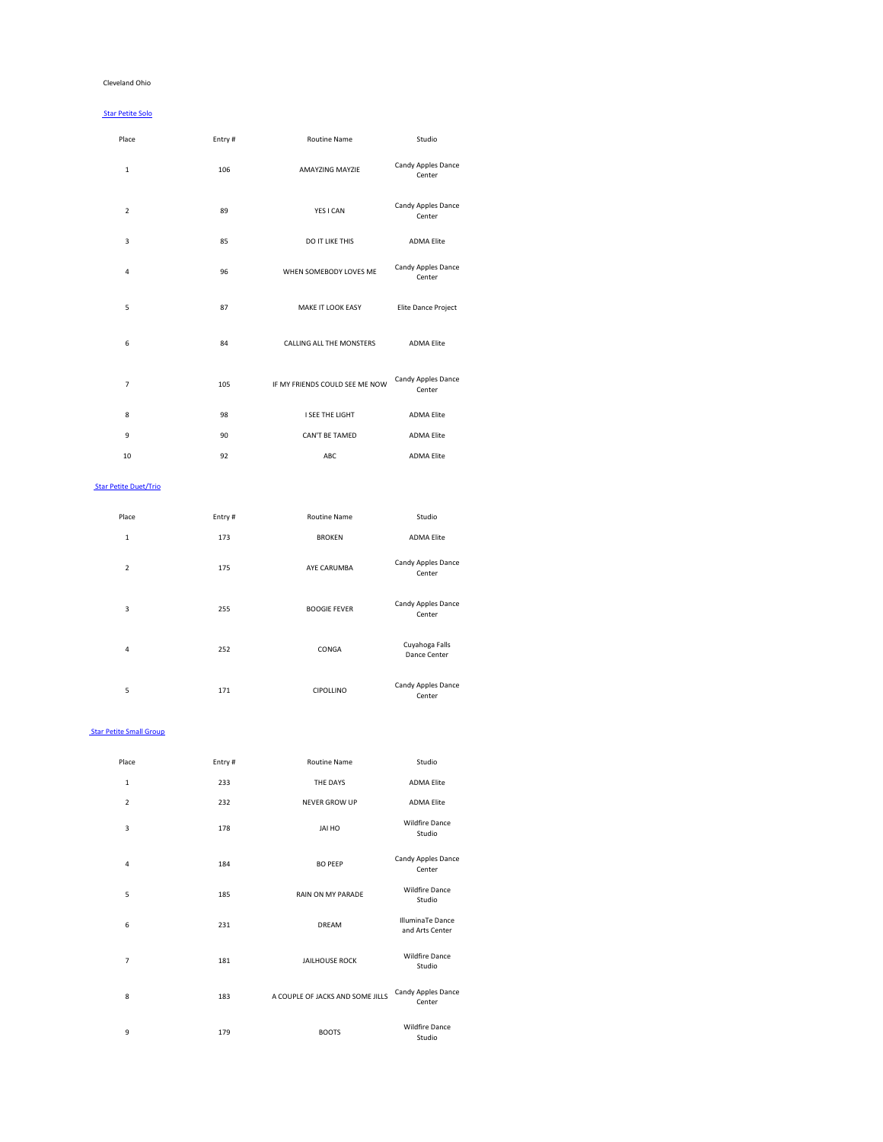#### Cleveland Ohio

#### Star Petite Solo

| Place                   | Entry# | <b>Routine Name</b>             | Studio                       |
|-------------------------|--------|---------------------------------|------------------------------|
| $\mathbf 1$             | 106    | <b>AMAYZING MAYZIE</b>          | Candy Apples Dance<br>Center |
| $\overline{2}$          | 89     | YES I CAN                       | Candy Apples Dance<br>Center |
| $\mathsf 3$             | 85     | DO IT LIKE THIS                 | <b>ADMA Elite</b>            |
| $\overline{\mathbf{r}}$ | 96     | WHEN SOMEBODY LOVES ME          | Candy Apples Dance<br>Center |
| 5                       | 87     | MAKE IT LOOK EASY               | Elite Dance Project          |
| $\boldsymbol{6}$        | 84     | <b>CALLING ALL THE MONSTERS</b> | <b>ADMA Elite</b>            |
| $\overline{7}$          | 105    | IF MY FRIENDS COULD SEE ME NOW  | Candy Apples Dance<br>Center |
| 8                       | 98     | I SEE THE LIGHT                 | <b>ADMA Elite</b>            |
| $\mathsf 9$             | 90     | CAN'T BE TAMED                  | <b>ADMA Elite</b>            |
| 10                      | 92     | ABC                             | <b>ADMA Elite</b>            |
|                         |        |                                 |                              |

#### Star Petite Duet/Trio

| Place          | Entry# | <b>Routine Name</b> | Studio                                            |
|----------------|--------|---------------------|---------------------------------------------------|
| 1              | 173    | <b>BROKEN</b>       | <b>ADMA Elite</b>                                 |
| $\overline{2}$ | 175    | AYE CARUMBA         | <b>Candy Apples Dance</b><br>Center               |
| 3              | 255    | <b>BOOGIE FEVER</b> | Candy Apples Dance<br>$\sim$ $\sim$ $\sim$ $\sim$ |

Center

| 4  | 252 | <b>CONGA</b>     | Cuyahoga Falls<br>Dance Center      |
|----|-----|------------------|-------------------------------------|
| 5. | 171 | <b>CIPOLLINO</b> | <b>Candy Apples Dance</b><br>Center |

**Star Petite Small Group** 

| Place                   | Entry# | <b>Routine Name</b>              | Studio                                     |
|-------------------------|--------|----------------------------------|--------------------------------------------|
| $\mathbf{1}$            | 233    | THE DAYS                         | <b>ADMA Elite</b>                          |
| $\overline{2}$          | 232    | <b>NEVER GROW UP</b>             | <b>ADMA Elite</b>                          |
| 3                       | 178    | JAI HO                           | <b>Wildfire Dance</b><br>Studio            |
| $\overline{\mathbf{4}}$ | 184    | <b>BO PEEP</b>                   | Candy Apples Dance<br>Center               |
| 5                       | 185    | RAIN ON MY PARADE                | <b>Wildfire Dance</b><br>Studio            |
| 6                       | 231    | <b>DREAM</b>                     | <b>IlluminaTe Dance</b><br>and Arts Center |
| $\boldsymbol{7}$        | 181    | <b>JAILHOUSE ROCK</b>            | <b>Wildfire Dance</b><br>Studio            |
| 8                       | 183    | A COUPLE OF JACKS AND SOME JILLS | Candy Apples Dance<br>Center               |
| 9                       | 179    | <b>BOOTS</b>                     | <b>Wildfire Dance</b><br>Studio            |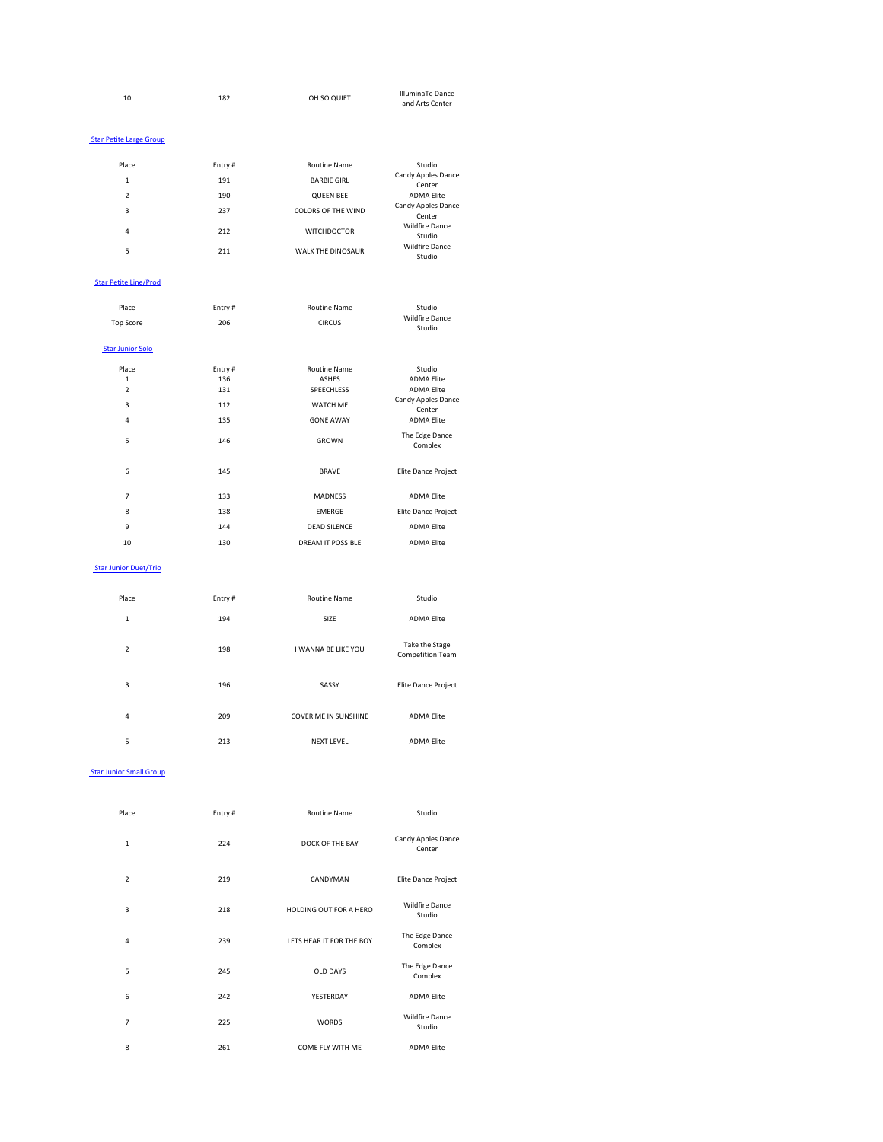| 10 | 182 | OH SO QUIET | <b>IlluminaTe Dance</b> |
|----|-----|-------------|-------------------------|
|    |     |             | and Arts Center         |

#### **Star Petite Large Group**

| Place | Entry# | <b>Routine Name</b>       | Studio                              |
|-------|--------|---------------------------|-------------------------------------|
| 1     | 191    | <b>BARBIE GIRL</b>        | <b>Candy Apples Dance</b><br>Center |
| 2     | 190    | <b>QUEEN BEE</b>          | <b>ADMA Elite</b>                   |
| 3     | 237    | <b>COLORS OF THE WIND</b> | <b>Candy Apples Dance</b><br>Center |
| 4     | 212    | <b>WITCHDOCTOR</b>        | <b>Wildfire Dance</b><br>Studio     |
| 5     | 211    | <b>WALK THE DINOSAUR</b>  | <b>Wildfire Dance</b><br>Studio     |

#### Star Petite Line/Prod

| Place                   | Entry# | <b>Routine Name</b>      | Studio                          |
|-------------------------|--------|--------------------------|---------------------------------|
| <b>Top Score</b>        | 206    | <b>CIRCUS</b>            | <b>Wildfire Dance</b><br>Studio |
| <b>Star Junior Solo</b> |        |                          |                                 |
| Place                   | Entry# | <b>Routine Name</b>      | Studio                          |
| $\mathbf{1}$            | 136    | <b>ASHES</b>             | <b>ADMA Elite</b>               |
| $\overline{2}$          | 131    | SPEECHLESS               | <b>ADMA Elite</b>               |
| 3                       | 112    | <b>WATCH ME</b>          | Candy Apples Dance<br>Center    |
| 4                       | 135    | <b>GONE AWAY</b>         | <b>ADMA Elite</b>               |
| 5                       | 146    | <b>GROWN</b>             | The Edge Dance<br>Complex       |
| 6                       | 145    | <b>BRAVE</b>             | Elite Dance Project             |
| $\overline{7}$          | 133    | <b>MADNESS</b>           | <b>ADMA Elite</b>               |
| 8                       | 138    | <b>EMERGE</b>            | Elite Dance Project             |
| 9                       | 144    | <b>DEAD SILENCE</b>      | <b>ADMA Elite</b>               |
| 10                      | 130    | <b>DREAM IT POSSIBLE</b> | <b>ADMA Elite</b>               |

#### Star Junior Duet/Trio

| Place | Entry $#$ | <b>Routine Name</b> | Studio            |
|-------|-----------|---------------------|-------------------|
| -     | 194       | <b>SIZE</b>         | <b>ADMA Elite</b> |

| 2 | 198 | I WANNA BE LIKE YOU         | Take the Stage<br><b>Competition Team</b> |
|---|-----|-----------------------------|-------------------------------------------|
| 3 | 196 | SASSY                       | Elite Dance Project                       |
| 4 | 209 | <b>COVER ME IN SUNSHINE</b> | <b>ADMA Elite</b>                         |
| 5 | 213 | <b>NEXT LEVEL</b>           | <b>ADMA Elite</b>                         |

#### **Star Junior Small Group**

| Place          | Entry# | <b>Routine Name</b>      | Studio                          |
|----------------|--------|--------------------------|---------------------------------|
| $\mathbf 1$    | 224    | DOCK OF THE BAY          | Candy Apples Dance<br>Center    |
| $\overline{2}$ | 219    | CANDYMAN                 | Elite Dance Project             |
| 3              | 218    | HOLDING OUT FOR A HERO   | <b>Wildfire Dance</b><br>Studio |
| $\overline{4}$ | 239    | LETS HEAR IT FOR THE BOY | The Edge Dance<br>Complex       |
| 5              | 245    | <b>OLD DAYS</b>          | The Edge Dance<br>Complex       |
| 6              | 242    | YESTERDAY                | <b>ADMA Elite</b>               |
| $\overline{7}$ | 225    | <b>WORDS</b>             | <b>Wildfire Dance</b><br>Studio |
| 8              | 261    | COME FLY WITH ME         | <b>ADMA Elite</b>               |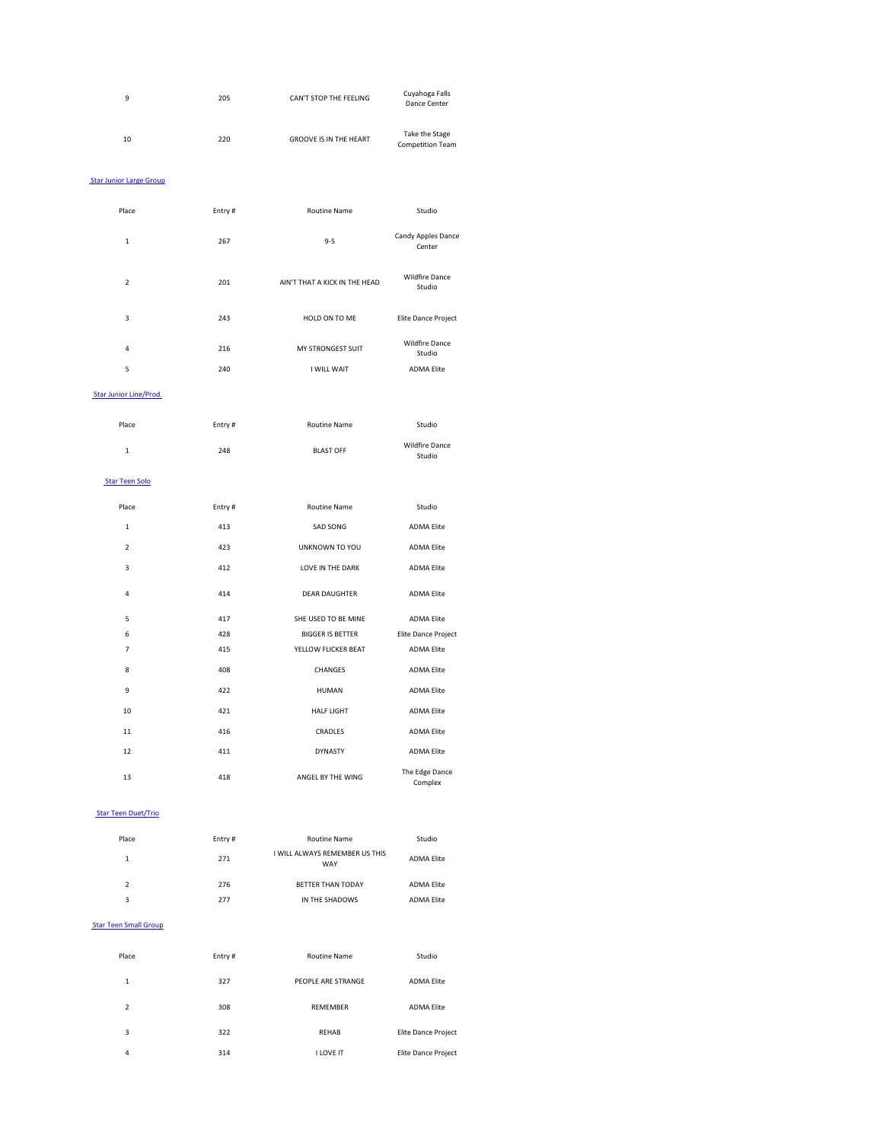| 9  | 205 | CAN'T STOP THE FEELING        | Cuyahoga Falls<br>Dance Center            |
|----|-----|-------------------------------|-------------------------------------------|
| 10 | 220 | <b>GROOVE IS IN THE HEART</b> | Take the Stage<br><b>Competition Team</b> |

#### **Star Junior Large Group**

| Place          | Entry# | <b>Routine Name</b>           | Studio                          |
|----------------|--------|-------------------------------|---------------------------------|
| $\mathbf{1}$   | 267    | $9 - 5$                       | Candy Apples Dance<br>Center    |
| $\overline{2}$ | 201    | AIN'T THAT A KICK IN THE HEAD | <b>Wildfire Dance</b><br>Studio |
| 3              | 243    | HOLD ON TO ME                 | Elite Dance Project             |
| $\sqrt{4}$     | 216    | <b>MY STRONGEST SUIT</b>      | <b>Wildfire Dance</b><br>Studio |
| 5              | 240    | I WILL WAIT                   | <b>ADMA Elite</b>               |

#### Star Junior Line/Prod.

| Place | Entry# | Routine Name     | Studio                          |
|-------|--------|------------------|---------------------------------|
|       | 248    | <b>BLAST OFF</b> | <b>Wildfire Dance</b><br>Studio |

#### Star Teen Solo

| Place            | Entry# | <b>Routine Name</b>     | Studio                    |
|------------------|--------|-------------------------|---------------------------|
| $\mathbf 1$      | 413    | <b>SAD SONG</b>         | <b>ADMA Elite</b>         |
| $\overline{2}$   | 423    | UNKNOWN TO YOU          | <b>ADMA Elite</b>         |
| 3                | 412    | LOVE IN THE DARK        | <b>ADMA Elite</b>         |
| 4                | 414    | <b>DEAR DAUGHTER</b>    | <b>ADMA Elite</b>         |
| 5                | 417    | SHE USED TO BE MINE     | <b>ADMA Elite</b>         |
| 6                | 428    | <b>BIGGER IS BETTER</b> | Elite Dance Project       |
| $\overline{7}$   | 415    | YELLOW FLICKER BEAT     | <b>ADMA Elite</b>         |
| 8                | 408    | <b>CHANGES</b>          | <b>ADMA Elite</b>         |
| $\boldsymbol{9}$ | 422    | <b>HUMAN</b>            | <b>ADMA Elite</b>         |
| 10               | 421    | <b>HALF LIGHT</b>       | <b>ADMA Elite</b>         |
| 11               | 416    | <b>CRADLES</b>          | <b>ADMA Elite</b>         |
| 12               | 411    | <b>DYNASTY</b>          | <b>ADMA Elite</b>         |
| 13               | 418    | ANGEL BY THE WING       | The Edge Dance<br>Complex |

# **Star Teen Duet/Trio**

| Place         | Entry # | <b>Routine Name</b>                          | Studio     |
|---------------|---------|----------------------------------------------|------------|
| 1             | 271     | I WILL ALWAYS REMEMBER US THIS<br><b>WAY</b> | ADMA Elite |
| $\mathcal{P}$ | 276     | <b>BETTER THAN TODAY</b>                     | ADMA Elite |
| 3             | 277     | IN THE SHADOWS                               | ADMA Elite |

# **Star Teen Small Group**

| Place | Entry# | <b>Routine Name</b> | Studio                     |
|-------|--------|---------------------|----------------------------|
| 1     | 327    | PEOPLE ARE STRANGE  | <b>ADMA Elite</b>          |
| 2     | 308    | <b>REMEMBER</b>     | <b>ADMA Elite</b>          |
| 3     | 322    | <b>REHAB</b>        | <b>Elite Dance Project</b> |
| 4     | 314    | I LOVE IT           | Elite Dance Project        |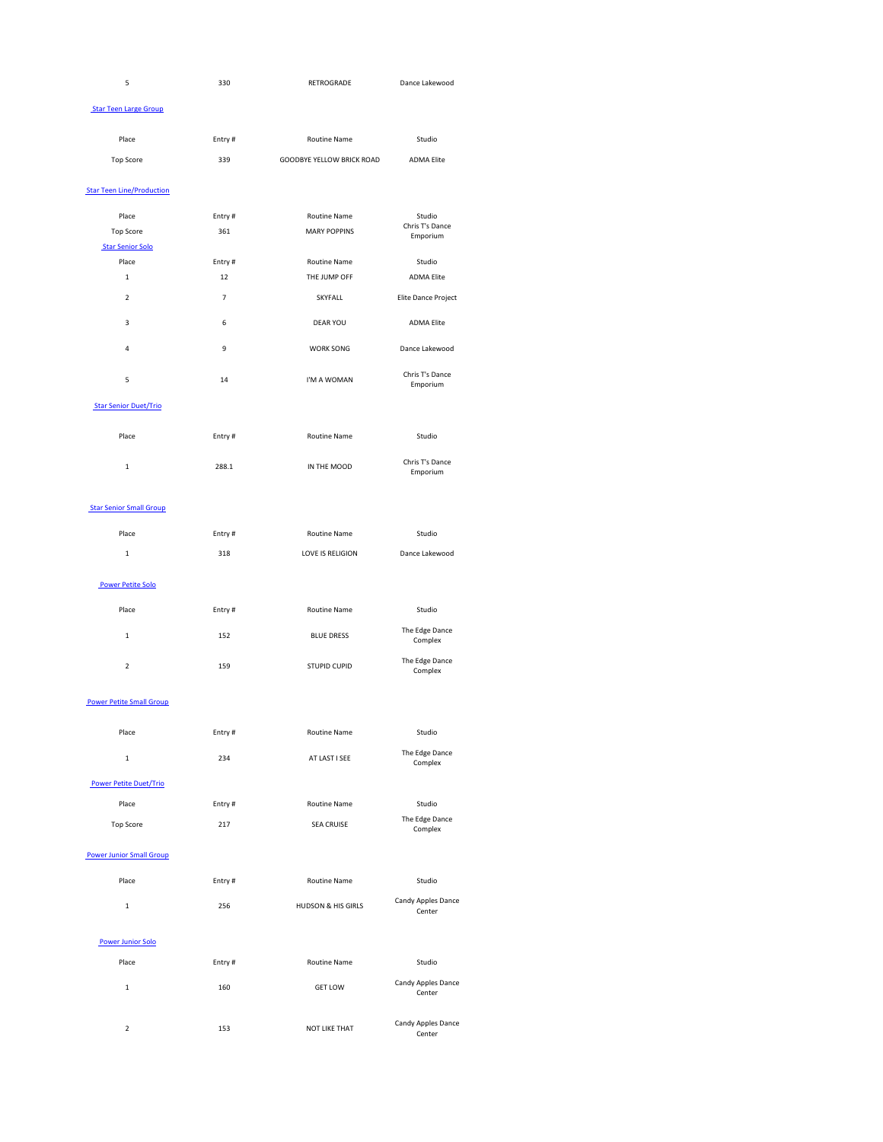| $\overline{\phantom{0}}$<br>- | 330 | RETROGRADE | Dance Lakewood |
|-------------------------------|-----|------------|----------------|
|                               |     |            |                |

#### **Star Teen Large Group**

| Place     | Entry# | Routine Name                     | Studio            |
|-----------|--------|----------------------------------|-------------------|
| Top Score | 339    | <b>GOODBYE YELLOW BRICK ROAD</b> | <b>ADMA Elite</b> |

# **Star Teen Line/Production**

| Place<br><b>Top Score</b> | Entry#<br>361 | <b>Routine Name</b><br><b>MARY POPPINS</b> | Studio<br>Chris T's Dance<br>Emporium |
|---------------------------|---------------|--------------------------------------------|---------------------------------------|
| <b>Star Senior Solo</b>   |               |                                            |                                       |
| Place                     | Entry#        | <b>Routine Name</b>                        | Studio                                |
| 1                         | 12            | THE JUMP OFF                               | <b>ADMA Elite</b>                     |
| $\overline{2}$            | 7             | <b>SKYFALL</b>                             | Elite Dance Project                   |
| 3                         | 6             | <b>DEAR YOU</b>                            | <b>ADMA Elite</b>                     |
| 4                         | 9             | <b>WORK SONG</b>                           | Dance Lakewood                        |
| 5                         | 14            | I'M A WOMAN                                | Chris T's Dance<br>Emporium           |

# **Star Senior Duet/Trio**

| Place         | Entry# | <b>Routine Name</b> | Studio                      |
|---------------|--------|---------------------|-----------------------------|
| <u>. на с</u> | 288.1  | IN THE MOOD         | Chris T's Dance<br>Emporium |

# **Star Senior Small Group**

| Place | Entry $#$ | <b>Routine Name</b> | Studio         |
|-------|-----------|---------------------|----------------|
|       | 318       | LOVE IS RELIGION    | Dance Lakewood |

#### Power Petite Solo

| Place                           | Entry# | <b>Routine Name</b> | Studio                    |
|---------------------------------|--------|---------------------|---------------------------|
| 1                               | 152    | <b>BLUE DRESS</b>   | The Edge Dance<br>Complex |
| $\overline{2}$                  | 159    | <b>STUPID CUPID</b> | The Edge Dance<br>Complex |
| <b>Power Petite Small Group</b> |        |                     |                           |
| Place                           | Entry# | <b>Routine Name</b> | Studio                    |

|                               | 234 | AT LAST I SEE | The Edge Dance<br>Complex |
|-------------------------------|-----|---------------|---------------------------|
| <b>Power Petite Duet/Trio</b> |     |               |                           |

| Place     | Entry # | Routine Name      | Studio                    |
|-----------|---------|-------------------|---------------------------|
| Top Score | 217     | <b>SEA CRUISE</b> | The Edge Dance<br>Complex |

#### Power Junior Small Group

| Place | Entry# | <b>Routine Name</b>           | <b>Studio</b>                |
|-------|--------|-------------------------------|------------------------------|
|       | 256    | <b>HUDSON &amp; HIS GIRLS</b> | Candy Apples Dance<br>Center |

#### Power Junior Solo

| Place | Entry# | <b>Routine Name</b>  | Studio                              |
|-------|--------|----------------------|-------------------------------------|
| 1     | 160    | <b>GET LOW</b>       | Candy Apples Dance<br>Center        |
| 2     | 153    | <b>NOT LIKE THAT</b> | <b>Candy Apples Dance</b><br>Center |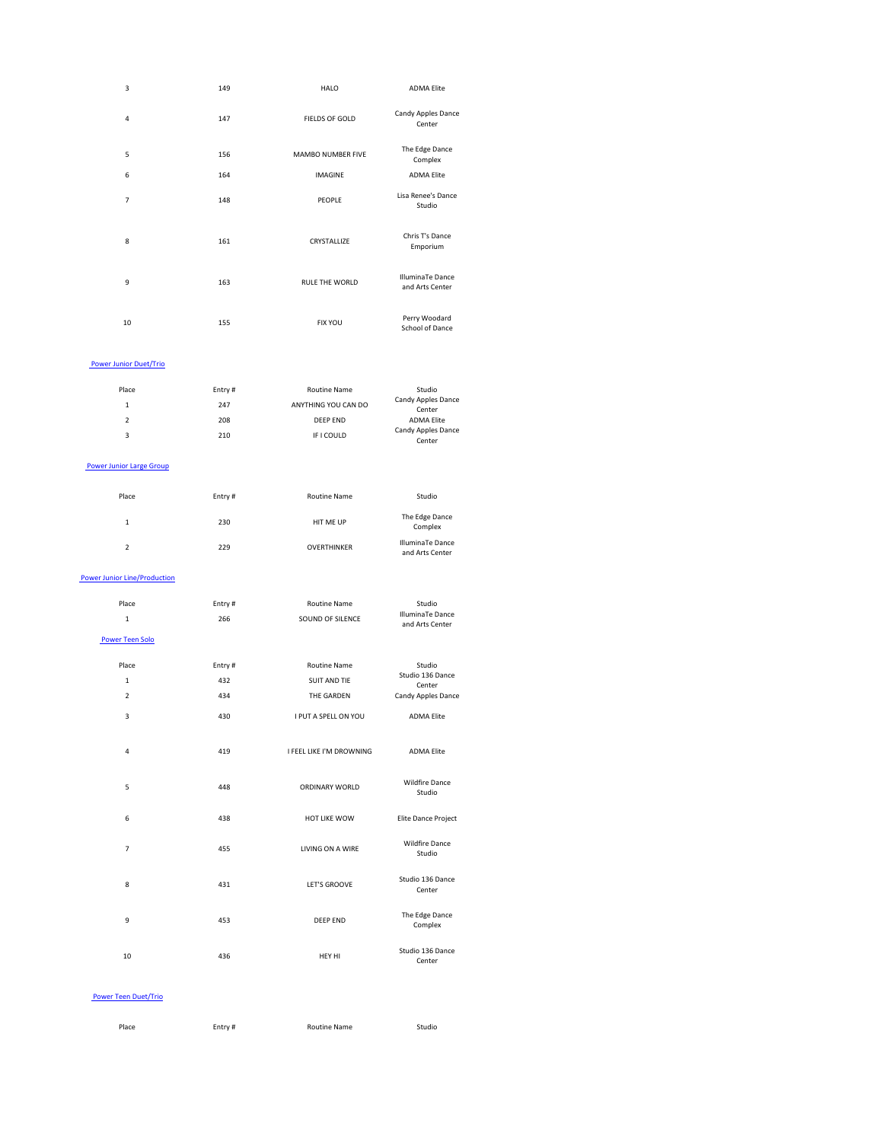| 3                             | 149    | <b>HALO</b>           | <b>ADMA Elite</b>                          |
|-------------------------------|--------|-----------------------|--------------------------------------------|
| $\pmb{4}$                     | 147    | <b>FIELDS OF GOLD</b> | Candy Apples Dance<br>Center               |
| 5                             | 156    | MAMBO NUMBER FIVE     | The Edge Dance<br>Complex                  |
| 6                             | 164    | <b>IMAGINE</b>        | <b>ADMA Elite</b>                          |
| $\overline{7}$                | 148    | <b>PEOPLE</b>         | Lisa Renee's Dance<br>Studio               |
| $\,8\,$                       | 161    | CRYSTALLIZE           | Chris T's Dance<br>Emporium                |
| 9                             | 163    | RULE THE WORLD        | <b>IlluminaTe Dance</b><br>and Arts Center |
| $10\,$                        | 155    | <b>FIX YOU</b>        | Perry Woodard<br><b>School of Dance</b>    |
| <b>Power Junior Duet/Trio</b> |        |                       |                                            |
| Place                         | Entry# | <b>Routine Name</b>   | Studio                                     |
| $\overline{ }$                | 217    | ANIVELUMO VOLLOAN DO  | Candy Apples Dance                         |

| . | .   |                     | -----                               |
|---|-----|---------------------|-------------------------------------|
|   | 247 | ANYTHING YOU CAN DO | <b>Candy Apples Dance</b><br>Center |
|   | 208 | DEEP END            | <b>ADMA Elite</b>                   |
| 3 | 210 | IF I COULD          | <b>Candy Apples Dance</b><br>Center |

#### Power Junior Large Group

| Place | Entry# | <b>Routine Name</b> | Studio                              |
|-------|--------|---------------------|-------------------------------------|
| 1     | 230    | HIT ME UP           | The Edge Dance<br>Complex           |
| 2     | 229    | <b>OVERTHINKER</b>  | IlluminaTe Dance<br>and Arts Center |

#### Power Junior Line/Production

| Place | Entry # | Routine Name     | <b>Studio</b>                       |
|-------|---------|------------------|-------------------------------------|
|       | 266     | SOUND OF SILENCE | IlluminaTe Dance<br>and Arts Center |

Power Teen Solo

| Place                   | Entry# | <b>Routine Name</b>      | Studio                          |
|-------------------------|--------|--------------------------|---------------------------------|
| $\mathbf 1$             | 432    | <b>SUIT AND TIE</b>      | Studio 136 Dance<br>Center      |
| $\overline{2}$          | 434    | THE GARDEN               | Candy Apples Dance              |
| $\overline{3}$          | 430    | I PUT A SPELL ON YOU     | <b>ADMA Elite</b>               |
| $\overline{\mathbf{4}}$ | 419    | I FEEL LIKE I'M DROWNING | <b>ADMA Elite</b>               |
| 5                       | 448    | <b>ORDINARY WORLD</b>    | <b>Wildfire Dance</b><br>Studio |
| 6                       | 438    | <b>HOT LIKE WOW</b>      | Elite Dance Project             |
| $\overline{7}$          | 455    | LIVING ON A WIRE         | <b>Wildfire Dance</b><br>Studio |
| 8                       | 431    | <b>LET'S GROOVE</b>      | Studio 136 Dance<br>Center      |
| 9                       | 453    | <b>DEEP END</b>          | The Edge Dance<br>Complex       |
| 10                      | 436    | HEY HI                   | Studio 136 Dance<br>Center      |
|                         |        |                          |                                 |

#### Power Teen Duet/Trio

| Place | Entry # | <b>Routine Name</b> | Studio |
|-------|---------|---------------------|--------|
|       |         |                     |        |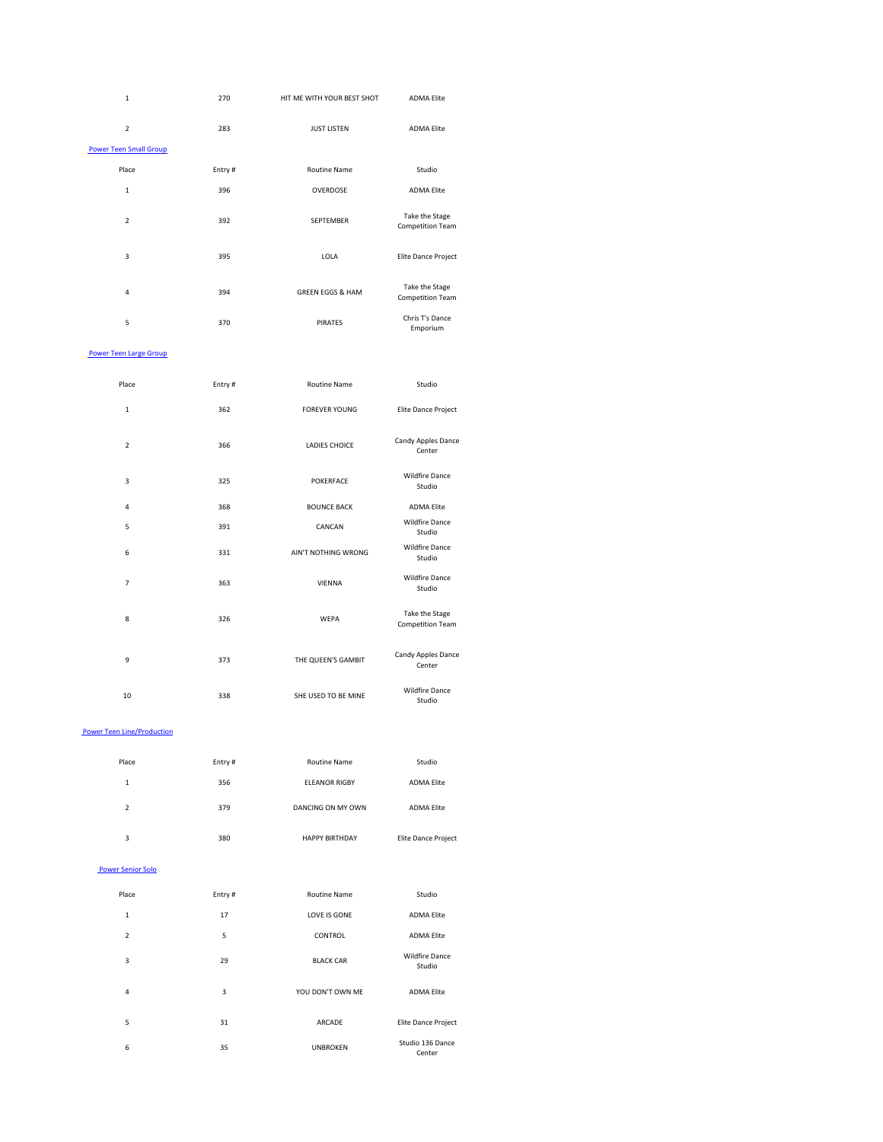| $\mathbf 1$                   | 270    | HIT ME WITH YOUR BEST SHOT  | <b>ADMA Elite</b>                         |
|-------------------------------|--------|-----------------------------|-------------------------------------------|
| $\overline{2}$                | 283    | <b>JUST LISTEN</b>          | <b>ADMA Elite</b>                         |
| <b>Power Teen Small Group</b> |        |                             |                                           |
| Place                         | Entry# | <b>Routine Name</b>         | Studio                                    |
| $\mathbf 1$                   | 396    | OVERDOSE                    | <b>ADMA Elite</b>                         |
| $\overline{2}$                | 392    | SEPTEMBER                   | Take the Stage<br><b>Competition Team</b> |
| 3                             | 395    | LOLA                        | Elite Dance Project                       |
| 4                             | 394    | <b>GREEN EGGS &amp; HAM</b> | Take the Stage<br><b>Competition Team</b> |
| 5                             | 370    | <b>PIRATES</b>              | Chris T's Dance<br>Emporium               |

#### **Power Teen Large Group**

| Place          | Entry# | <b>Routine Name</b>  | Studio                                    |
|----------------|--------|----------------------|-------------------------------------------|
| $\mathbf 1$    | 362    | <b>FOREVER YOUNG</b> | Elite Dance Project                       |
| $\overline{2}$ | 366    | <b>LADIES CHOICE</b> | Candy Apples Dance<br>Center              |
| $\mathsf 3$    | 325    | <b>POKERFACE</b>     | <b>Wildfire Dance</b><br>Studio           |
| 4              | 368    | <b>BOUNCE BACK</b>   | <b>ADMA Elite</b>                         |
| 5              | 391    | CANCAN               | <b>Wildfire Dance</b><br>Studio           |
| 6              | 331    | AIN'T NOTHING WRONG  | <b>Wildfire Dance</b><br>Studio           |
| $\overline{7}$ | 363    | <b>VIENNA</b>        | <b>Wildfire Dance</b><br>Studio           |
| 8              | 326    | <b>WEPA</b>          | Take the Stage<br><b>Competition Team</b> |

| 9  | 373 | THE QUEEN'S GAMBIT  | Candy Apples Dance<br>Center    |
|----|-----|---------------------|---------------------------------|
| 10 | 338 | SHE USED TO BE MINE | <b>Wildfire Dance</b><br>Studio |

#### **Power Teen Line/Production**

| Place | Entry# | <b>Routine Name</b>   | Studio                     |
|-------|--------|-----------------------|----------------------------|
| 1     | 356    | <b>ELEANOR RIGBY</b>  | <b>ADMA Elite</b>          |
| 2     | 379    | DANCING ON MY OWN     | <b>ADMA Elite</b>          |
| 3     | 380    | <b>HAPPY BIRTHDAY</b> | <b>Elite Dance Project</b> |

#### Power Senior Solo

| Place          | Entry#         | <b>Routine Name</b> | Studio                          |
|----------------|----------------|---------------------|---------------------------------|
| 1              | 17             | LOVE IS GONE        | <b>ADMA Elite</b>               |
| $\overline{2}$ | $\overline{5}$ | <b>CONTROL</b>      | <b>ADMA Elite</b>               |
| 3              | 29             | <b>BLACK CAR</b>    | <b>Wildfire Dance</b><br>Studio |
| 4              | 3              | YOU DON'T OWN ME    | <b>ADMA Elite</b>               |
| 5              | 31             | <b>ARCADE</b>       | <b>Elite Dance Project</b>      |
| 6              | 35             | <b>UNBROKEN</b>     | Studio 136 Dance<br>Center      |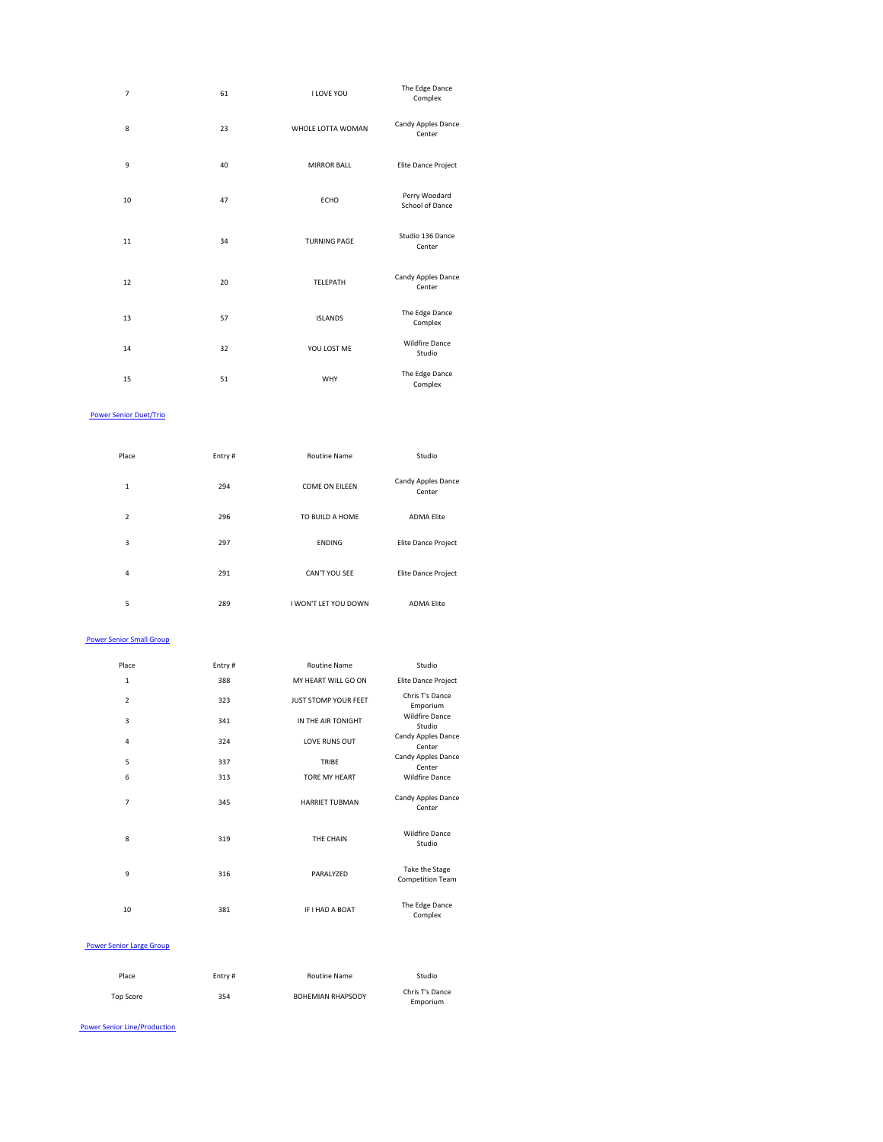| $\overline{7}$ | 61 | <b>I LOVE YOU</b>   | The Edge Dance<br>Complex               |
|----------------|----|---------------------|-----------------------------------------|
| 8              | 23 | WHOLE LOTTA WOMAN   | Candy Apples Dance<br>Center            |
| 9              | 40 | <b>MIRROR BALL</b>  | Elite Dance Project                     |
| 10             | 47 | <b>ECHO</b>         | Perry Woodard<br><b>School of Dance</b> |
| 11             | 34 | <b>TURNING PAGE</b> | Studio 136 Dance<br>Center              |
| 12             | 20 | TELEPATH            | Candy Apples Dance<br>Center            |
| 13             | 57 | <b>ISLANDS</b>      | The Edge Dance<br>Complex               |
| 14             | 32 | YOU LOST ME         | <b>Wildfire Dance</b><br>Studio         |
| 15             | 51 | <b>WHY</b>          | The Edge Dance<br>Complex               |

# Power Senior Duet/Trio

| Place          | Entry# | <b>Routine Name</b>   | Studio                              |
|----------------|--------|-----------------------|-------------------------------------|
| 1              | 294    | <b>COME ON EILEEN</b> | <b>Candy Apples Dance</b><br>Center |
| 2              | 296    | TO BUILD A HOME       | <b>ADMA Elite</b>                   |
| 3              | 297    | <b>ENDING</b>         | Elite Dance Project                 |
| $\overline{4}$ | 291    | CAN'T YOU SEE         | Elite Dance Project                 |
| 5              | 289    | I WON'T LET YOU DOWN  | <b>ADMA Elite</b>                   |

**Power Senior Small Group** 

| Place          | Entry# | <b>Routine Name</b>         | Studio                                    |
|----------------|--------|-----------------------------|-------------------------------------------|
| $\mathbf{1}$   | 388    | MY HEART WILL GO ON         | Elite Dance Project                       |
| $\overline{2}$ | 323    | <b>JUST STOMP YOUR FEET</b> | Chris T's Dance<br>Emporium               |
| $\mathsf 3$    | 341    | IN THE AIR TONIGHT          | <b>Wildfire Dance</b><br>Studio           |
| $\overline{4}$ | 324    | LOVE RUNS OUT               | Candy Apples Dance<br>Center              |
| 5              | 337    | <b>TRIBE</b>                | <b>Candy Apples Dance</b><br>Center       |
| 6              | 313    | <b>TORE MY HEART</b>        | <b>Wildfire Dance</b>                     |
| $\overline{7}$ | 345    | <b>HARRIET TUBMAN</b>       | Candy Apples Dance<br>Center              |
| 8              | 319    | THE CHAIN                   | <b>Wildfire Dance</b><br>Studio           |
| 9              | 316    | PARALYZED                   | Take the Stage<br><b>Competition Team</b> |
| 10             | 381    | IF I HAD A BOAT             | The Edge Dance<br>Complex                 |

#### Power Senior Large Group

| Place     | Entry # | <b>Routine Name</b>      | Studio                      |
|-----------|---------|--------------------------|-----------------------------|
| Top Score | 354     | <b>BOHEMIAN RHAPSODY</b> | Chris T's Dance<br>Emporium |

Power Senior Line/Production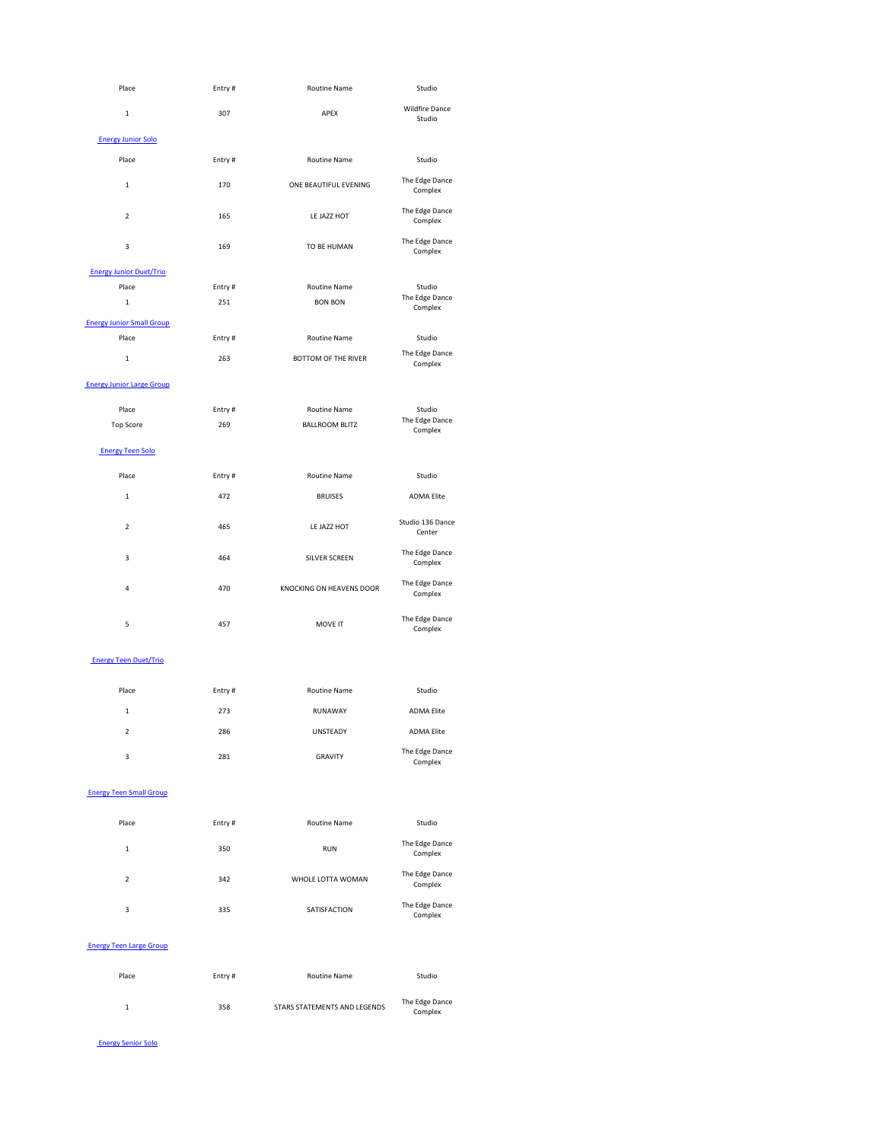| Place                            | Entry# | <b>Routine Name</b>        | Studio                                |
|----------------------------------|--------|----------------------------|---------------------------------------|
| $\mathbf 1$                      | 307    | <b>APEX</b>                | <b>Wildfire Dance</b><br>Studio       |
| <b>Energy Junior Solo</b>        |        |                            |                                       |
| Place                            | Entry# | <b>Routine Name</b>        | Studio                                |
| $\mathbf 1$                      | 170    | ONE BEAUTIFUL EVENING      | The Edge Dance<br>Complex             |
| $\overline{2}$                   | 165    | LE JAZZ HOT                | The Edge Dance<br>Complex             |
| $\mathsf 3$                      | 169    | TO BE HUMAN                | The Edge Dance<br>Complex             |
| <b>Energy Junior Duet/Trio</b>   |        |                            |                                       |
| Place                            | Entry# | <b>Routine Name</b>        | Studio                                |
| $\mathbf 1$                      | 251    | <b>BON BON</b>             | The Edge Dance<br>Complex             |
| <b>Energy Junior Small Group</b> |        |                            |                                       |
| Place                            | Entry# | <b>Routine Name</b>        | Studio                                |
| $\mathbf 1$                      | 263    | <b>BOTTOM OF THE RIVER</b> | The Edge Dance<br>Complex             |
| <b>Energy Junior Large Group</b> |        |                            |                                       |
| Place                            | Entry# | <b>Routine Name</b>        | Studio                                |
| <b>Top Score</b>                 | 269    | <b>BALLROOM BLITZ</b>      | The Edge Dance<br>Complex             |
| <b>Energy Teen Solo</b>          |        |                            |                                       |
| Place                            | Entry# | <b>Routine Name</b>        | Studio                                |
| $\mathbf 1$                      | 472    | <b>BRUISES</b>             | <b>ADMA Elite</b>                     |
| $\overline{2}$                   | 465    | LE JAZZ HOT                | Studio 136 Dance<br>Center            |
| $\overline{3}$                   | 464    | <b>SILVER SCREEN</b>       | The Edge Dance<br>Complex             |
| $\overline{\mathbf{4}}$          | 470    | KNOCKING ON HEAVENS DOOR   | The Edge Dance<br>Complex             |
| 5                                | 457    | MOVE IT                    | The Edge Dance<br>$\sim$ and all also |

Complex

# **Energy Teen Small Group**

#### Energy Teen Duet/Trio

| Place          | Entry# | <b>Routine Name</b> | Studio                    |
|----------------|--------|---------------------|---------------------------|
| $\mathbf{1}$   | 273    | <b>RUNAWAY</b>      | <b>ADMA Elite</b>         |
| $\overline{2}$ | 286    | <b>UNSTEADY</b>     | <b>ADMA Elite</b>         |
| 3              | 281    | <b>GRAVITY</b>      | The Edge Dance<br>Complex |

| Place | Entry# | <b>Routine Name</b> | Studio                    |
|-------|--------|---------------------|---------------------------|
| 1     | 350    | <b>RUN</b>          | The Edge Dance<br>Complex |
| 2     | 342    | WHOLE LOTTA WOMAN   | The Edge Dance<br>Complex |
| 3     | 335    | SATISFACTION        | The Edge Dance<br>Complex |

#### Energy Teen Large Group

| Place | Entry# | <b>Routine Name</b>          | Studio                    |
|-------|--------|------------------------------|---------------------------|
|       | 358    | STARS STATEMENTS AND LEGENDS | The Edge Dance<br>Complex |

#### Energy Senior Solo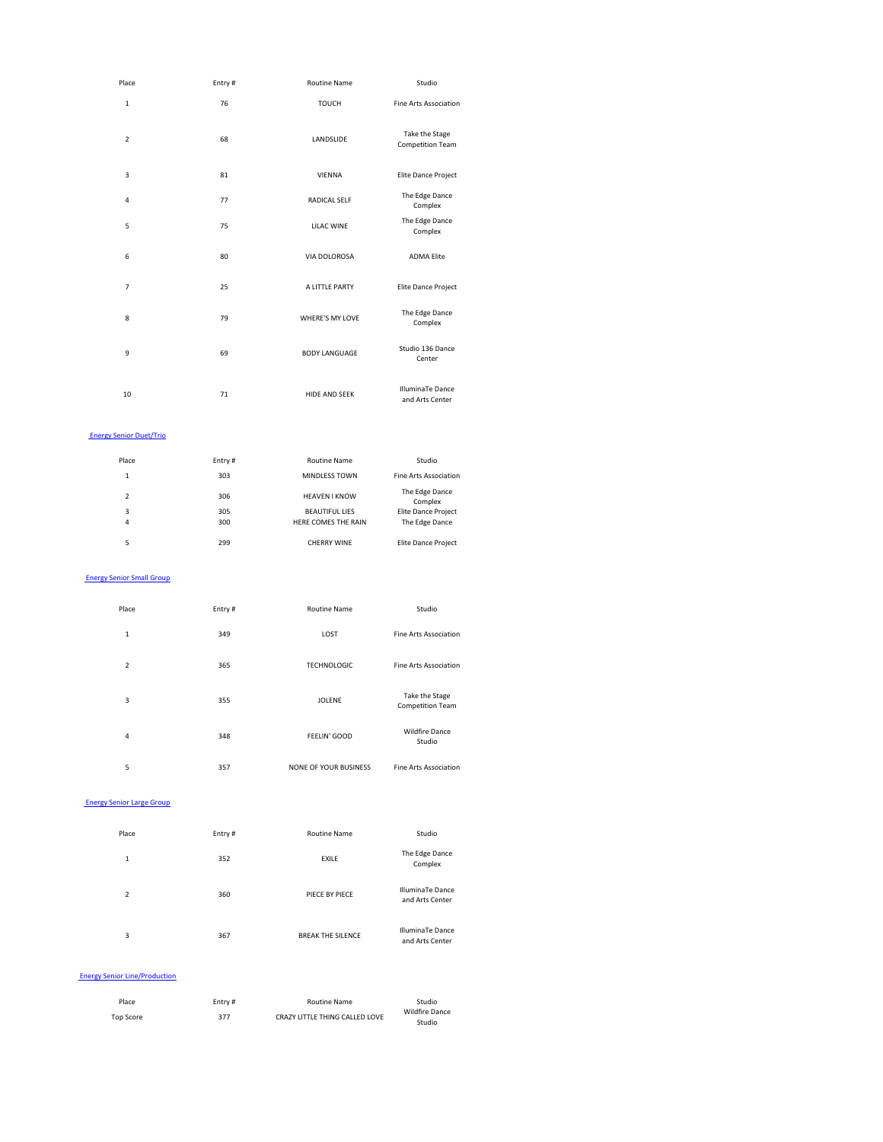| Place                   | Entry# | <b>Routine Name</b>    | Studio                                     |
|-------------------------|--------|------------------------|--------------------------------------------|
| $\mathbf 1$             | 76     | <b>TOUCH</b>           | <b>Fine Arts Association</b>               |
| $\overline{2}$          | 68     | LANDSLIDE              | Take the Stage<br><b>Competition Team</b>  |
| $\mathsf 3$             | 81     | <b>VIENNA</b>          | Elite Dance Project                        |
| $\overline{\mathbf{4}}$ | 77     | RADICAL SELF           | The Edge Dance<br>Complex                  |
| 5                       | 75     | <b>LILAC WINE</b>      | The Edge Dance<br>Complex                  |
| $\boldsymbol{6}$        | 80     | VIA DOLOROSA           | <b>ADMA Elite</b>                          |
| $\overline{7}$          | 25     | A LITTLE PARTY         | Elite Dance Project                        |
| 8                       | 79     | <b>WHERE'S MY LOVE</b> | The Edge Dance<br>Complex                  |
| 9                       | 69     | <b>BODY LANGUAGE</b>   | Studio 136 Dance<br>Center                 |
| 10                      | 71     | <b>HIDE AND SEEK</b>   | <b>IlluminaTe Dance</b><br>and Arts Center |

#### Energy Senior Duet/Trio

| Place | Entry# | Routine Name          | Studio                     |
|-------|--------|-----------------------|----------------------------|
| 1     | 303    | <b>MINDLESS TOWN</b>  | Fine Arts Association      |
| 2     | 306    | <b>HEAVEN I KNOW</b>  | The Edge Dance<br>Complex  |
| 3     | 305    | <b>BEAUTIFUL LIES</b> | <b>Elite Dance Project</b> |
| 4     | 300    | HERE COMES THE RAIN   | The Edge Dance             |
| 5     | 299    | <b>CHERRY WINE</b>    | <b>Elite Dance Project</b> |

#### **Energy Senior Small Group**

| Place | Entry # | Routine Name | Studio                  |
|-------|---------|--------------|-------------------------|
|       |         |              |                         |
|       | າ າ ດ   | 100T         | Fine Auto Approbable in |

| T.             | 549 | LUJI                         | Fille Alts Association                    |
|----------------|-----|------------------------------|-------------------------------------------|
| $\overline{2}$ | 365 | <b>TECHNOLOGIC</b>           | Fine Arts Association                     |
| 3              | 355 | <b>JOLENE</b>                | Take the Stage<br><b>Competition Team</b> |
| 4              | 348 | FEELIN' GOOD                 | <b>Wildfire Dance</b><br>Studio           |
| 5              | 357 | <b>NONE OF YOUR BUSINESS</b> | <b>Fine Arts Association</b>              |

#### Energy Senior Large Group

| Place | Entry# | <b>Routine Name</b>      | Studio                                     |
|-------|--------|--------------------------|--------------------------------------------|
| 1     | 352    | <b>EXILE</b>             | The Edge Dance<br>Complex                  |
| 2     | 360    | PIECE BY PIECE           | <b>IlluminaTe Dance</b><br>and Arts Center |
| 3     | 367    | <b>BREAK THE SILENCE</b> | <b>IlluminaTe Dance</b><br>and Arts Center |

# **Energy Senior Line/Production**

| Place     | Entry # | Routine Name                   | Studio                          |
|-----------|---------|--------------------------------|---------------------------------|
| Top Score | 377     | CRAZY LITTLE THING CALLED LOVE | <b>Wildfire Dance</b><br>Studio |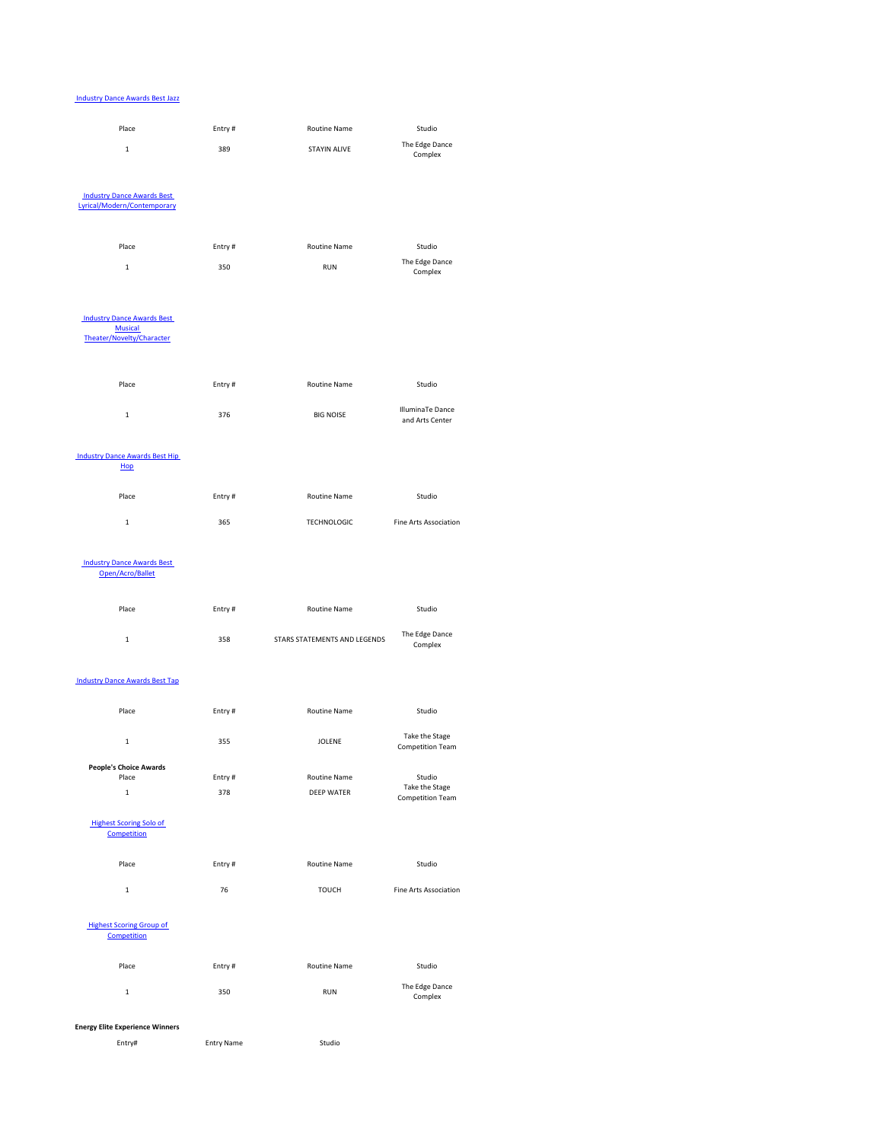#### Industry Dance Awards Best Jazz



| $\mathbf{1}$                                   | 358    | <b>STARS STATEMENTS AND LEGENDS</b> | The Edge Dance<br>Complex                 |
|------------------------------------------------|--------|-------------------------------------|-------------------------------------------|
| <b>Industry Dance Awards Best Tap</b>          |        |                                     |                                           |
| Place                                          | Entry# | <b>Routine Name</b>                 | Studio                                    |
| $\mathbf{1}$                                   | 355    | <b>JOLENE</b>                       | Take the Stage<br><b>Competition Team</b> |
| <b>People's Choice Awards</b>                  |        |                                     |                                           |
| Place                                          | Entry# | <b>Routine Name</b>                 | Studio                                    |
| $\mathbf{1}$                                   | 378    | <b>DEEP WATER</b>                   | Take the Stage<br><b>Competition Team</b> |
| <b>Highest Scoring Solo of</b><br>Competition  |        |                                     |                                           |
| Place                                          | Entry# | <b>Routine Name</b>                 | Studio                                    |
| $\mathbf{1}$                                   | 76     | <b>TOUCH</b>                        | <b>Fine Arts Association</b>              |
| <b>Highest Scoring Group of</b><br>Competition |        |                                     |                                           |
| Place                                          | Entry# | <b>Routine Name</b>                 | Studio                                    |
| $\mathbf{1}$                                   | 350    | <b>RUN</b>                          | The Edge Dance<br>Complex                 |

# **Energy Elite Experience Winners**

Entry# Entry Name Studio